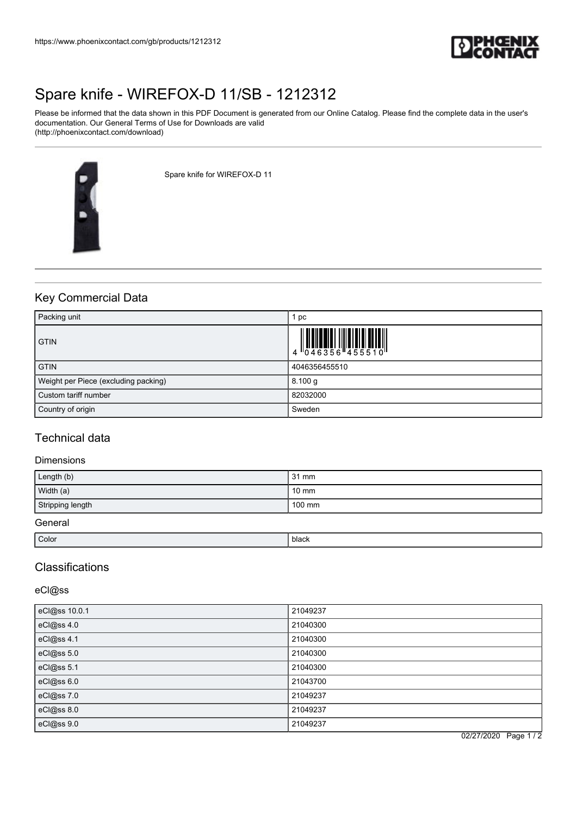

# [Spare knife - WIREFOX-D 11/SB - 1212312](https://www.phoenixcontact.com/gb/products/1212312)

Please be informed that the data shown in this PDF Document is generated from our Online Catalog. Please find the complete data in the user's documentation. Our General Terms of Use for Downloads are valid (http://phoenixcontact.com/download)



Spare knife for WIREFOX-D 11

# Key Commercial Data

| Packing unit                         | pc            |
|--------------------------------------|---------------|
| <b>GTIN</b>                          |               |
| <b>GTIN</b>                          | 4046356455510 |
| Weight per Piece (excluding packing) | 8.100 g       |
| Custom tariff number                 | 82032000      |
| Country of origin                    | Sweden        |

### Technical data

### Dimensions

| Length (b)       | 31 mm           |
|------------------|-----------------|
| Width (a)        | $10 \text{ mm}$ |
| Stripping length | 100 mm          |
| General          |                 |

| Color | black |
|-------|-------|
|       |       |

# Classifications

### eCl@ss

| eCl@ss 10.0.1 | 21049237 |
|---------------|----------|
| eCl@ss 4.0    | 21040300 |
| eCl@ss 4.1    | 21040300 |
| eCl@ss 5.0    | 21040300 |
| eCl@ss 5.1    | 21040300 |
| eCl@ss 6.0    | 21043700 |
| eCl@ss 7.0    | 21049237 |
| eCl@ss 8.0    | 21049237 |
| eCl@ss 9.0    | 21049237 |

02/27/2020 Page 1 / 2